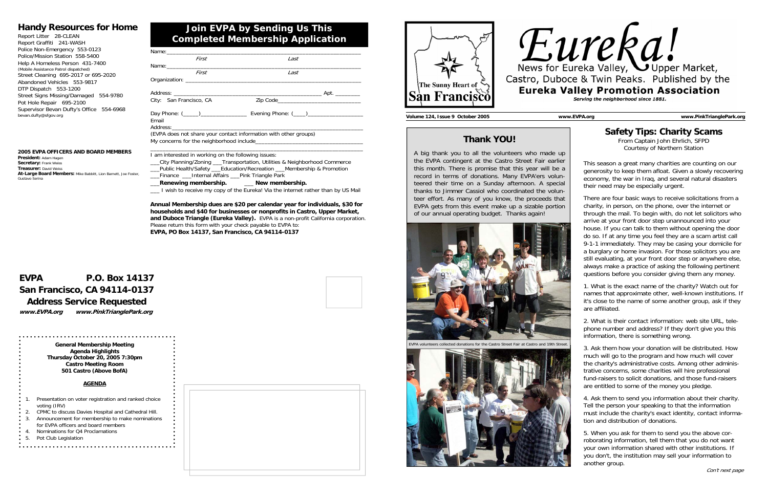## **Join EVPA by Sending Us This Completed Membership Application**

### **Handy Resources for Home**

| Report Litter 28-CLEAN                   |
|------------------------------------------|
| Report Graffiti 241-WASH                 |
| Police Non-Emergency 553-0123            |
| Police/Mission Station 558-5400          |
| Help A Homeless Person 431-7400          |
| (Mobile Assistance Patrol dispatched)    |
| Street Cleaning 695-2017 or 695-2020     |
| Abandoned Vehicles 553-9817              |
| DTP Dispatch 553-1200                    |
| Street Signs Missing/Damaged<br>554-9780 |
| Pot Hole Repair 695-2100                 |
| Supervisor Bevan Dufty's Office 554-6968 |
| bevan.dufty@sfgov.org                    |
|                                          |

## **EVPA P.O. Box 14137 San Francisco, CA 94114-0137 Address Service Requested**

**www.EVPA.org www.PinkTrianglePark.org** 

**2005 EVPA OFFICERS AND BOARD MEMBERS President:** Adam Hagen **Secretary:** Frank Weiss **Treasurer:** David Weiss**At-Large Board Members:** Mike Babbitt, Lion Barnett, Joe Foster,

Gustavo Serina

| First                                                                                                                          | Last                                                             |  |
|--------------------------------------------------------------------------------------------------------------------------------|------------------------------------------------------------------|--|
|                                                                                                                                |                                                                  |  |
| First                                                                                                                          | Last                                                             |  |
|                                                                                                                                |                                                                  |  |
|                                                                                                                                |                                                                  |  |
| City: San Francisco, CA                                                                                                        |                                                                  |  |
| Email                                                                                                                          |                                                                  |  |
|                                                                                                                                | (EVPA does not share your contact information with other groups) |  |
|                                                                                                                                |                                                                  |  |
| $\mathbf{r}$ , and $\mathbf{r}$ , and $\mathbf{r}$ , and $\mathbf{r}$ , and $\mathbf{r}$ , and $\mathbf{r}$ , and $\mathbf{r}$ |                                                                  |  |

- Presentation on voter registration and ranked choice voting (IRV)
- 2. CPMC to discuss Davies Hospital and Cathedral Hill. 3. Announcement for membership to make nominations
- for EVPA officers and board members
- Nominations for Q4 Proclamations
- 5. Pot Club Legislation





#### I am interested in working on the following issues:

\_\_\_City Planning/Zoning \_\_\_Transportation, Utilities & Neighborhood Commerce \_\_\_Public Health/Safety \_\_\_Education/Recreation \_\_\_Membership & Promotion

\_\_\_Finance \_\_\_Internal Affairs \_\_\_Pink Triangle Park

- \_\_\_**Renewing membership.** \_\_\_ **New membership.**
- \_\_\_ I wish to receive my copy of the Eureka! Via the internet rather than by US Mail

**Annual Membership dues are \$20 per calendar year for individuals, \$30 for households and \$40 for businesses or nonprofits in Castro, Upper Market, and Duboce Triangle (Eureka Valley).** EVPA is a non-profit California corporation. Please return this form with your check payable to EVPA to: **EVPA, PO Box 14137, San Francisco, CA 94114-0137**

**General Membership Meeting Agenda Highlights Thursday October 20, 2005 7:30pm Castro Meeting Room 501 Castro (Above BofA)** 

#### **AGENDA**

**Volume 124, Issue 9 October 2005 www.EVPA.org www.PinkTrianglePark.org** 

## **Thank YOU!**

A big thank you to all the volunteers who made up the EVPA contingent at the Castro Street Fair earlier this month. There is promise that this year will be a record in terms of donations. Many EVPA'ers volunteered their time on a Sunday afternoon. A special thanks to Jimmer Cassiol who coordinated the volunteer effort. As many of you know, the proceeds that EVPA gets from this event make up a sizable portion of our annual operating budget. Thanks again!



for the Castro Street Fair at Castro and 19th Street.





## **Safety Tips: Charity Scams**

From Captain John Ehrlich, SFPD Courtesy of Northern Station

This season a great many charities are counting on our generosity to keep them afloat. Given a slowly recovering economy, the war in Iraq, and several natural disasters their need may be especially urgent.

There are four basic ways to receive solicitations from a charity, in person, on the phone, over the internet or through the mail. To begin with, do not let solicitors who arrive at your front door step unannounced into your house. If you can talk to them without opening the door do so. If at any time you feel they are a scam artist call 9-1-1 immediately. They may be casing your domicile for a burglary or home invasion. For those solicitors you are still evaluating, at your front door step or anywhere else, always make a practice of asking the following pertinent questions before you consider giving them any money.

1. What is the exact name of the charity? Watch out for names that approximate other, well-known institutions. If it's close to the name of some another group, ask if they are affiliated.

2. What is their contact information: web site URL, telephone number and address? If they don't give you this information, there is something wrong.

3. Ask them how your donation will be distributed. How much will go to the program and how much will cover the charity's administrative costs. Among other administrative concerns, some charities will hire professional fund-raisers to solicit donations, and those fund-raisers are entitled to some of the money you pledge.

4. Ask them to send you information about their charity. Tell the person your speaking to that the information must include the charity's exact identity, contact information and distribution of donations.

5. When you ask for them to send you the above corroborating information, tell them that you do not want your own information shared with other institutions. If you don't, the institution may sell your information to another group.